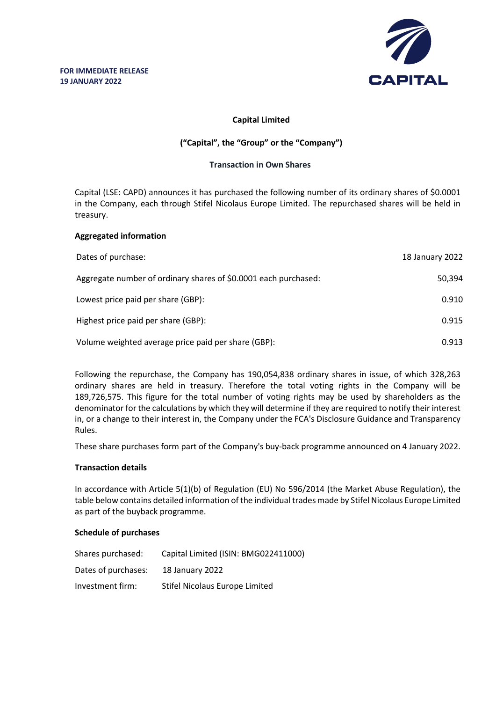

## **Capital Limited**

# **("Capital", the "Group" or the "Company")**

### **Transaction in Own Shares**

Capital (LSE: CAPD) announces it has purchased the following number of its ordinary shares of \$0.0001 in the Company, each through Stifel Nicolaus Europe Limited. The repurchased shares will be held in treasury.

### **Aggregated information**

| Dates of purchase:                                              | 18 January 2022 |
|-----------------------------------------------------------------|-----------------|
| Aggregate number of ordinary shares of \$0.0001 each purchased: | 50,394          |
| Lowest price paid per share (GBP):                              | 0.910           |
| Highest price paid per share (GBP):                             | 0.915           |
| Volume weighted average price paid per share (GBP):             | 0.913           |

Following the repurchase, the Company has 190,054,838 ordinary shares in issue, of which 328,263 ordinary shares are held in treasury. Therefore the total voting rights in the Company will be 189,726,575. This figure for the total number of voting rights may be used by shareholders as the denominator for the calculations by which they will determine if they are required to notify their interest in, or a change to their interest in, the Company under the FCA's Disclosure Guidance and Transparency Rules.

These share purchases form part of the Company's buy-back programme announced on 4 January 2022.

#### **Transaction details**

In accordance with Article 5(1)(b) of Regulation (EU) No 596/2014 (the Market Abuse Regulation), the table below contains detailed information of the individual trades made by Stifel Nicolaus Europe Limited as part of the buyback programme.

#### **Schedule of purchases**

| Shares purchased:   | Capital Limited (ISIN: BMG022411000) |
|---------------------|--------------------------------------|
| Dates of purchases: | 18 January 2022                      |
| Investment firm:    | Stifel Nicolaus Europe Limited       |